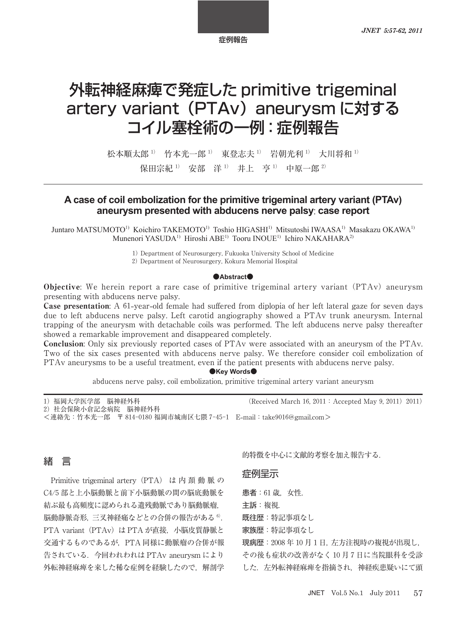# 外転神経麻痺で発症した primitive trigeminal artery variant (PTAv) aneurysm に対する コイル塞栓術の一例:症例報告

松本順太郎 <sup>1)</sup> 竹本光一郎 <sup>1)</sup> 東登志夫 <sup>1)</sup> 岩朝光利 <sup>1)</sup> 大川将和 <sup>1)</sup> 保田宗紀<sup>1)</sup> 安部 洋<sup>1)</sup> 井上 亨<sup>1)</sup> 中原一郎<sup>2)</sup>

## A case of coil embolization for the primitive trigeminal artery variant (PTAv) aneurysm presented with abducens nerve palsy: case report

Juntaro MATSUMOTO<sup>1)</sup> Koichiro TAKEMOTO<sup>1)</sup> Toshio HIGASHI<sup>1)</sup> Mitsutoshi IWAASA<sup>1)</sup> Masakazu OKAWA<sup>1)</sup> Munenori YASUDA<sup>1)</sup> Hiroshi ABE<sup>1)</sup> Tooru INOUE<sup>1)</sup> Ichiro NAKAHARA<sup>2)</sup>

Department of Neurosurgery, Fukuoka University School of Medicine

Department of Neurosurgery, Kokura Memorial Hospital

#### $\bullet$ **Abstract** $\bullet$

Objective: We herein report a rare case of primitive trigeminal artery variant (PTAv) aneurysm presenting with abducens nerve palsy.

**Case presentation:** A 61-year-old female had suffered from diplopia of her left lateral gaze for seven days due to left abducens nerve palsy. Left carotid angiography showed a PTAv trunk aneurysm. Internal trapping of the aneurysm with detachable coils was performed. The left abducens nerve palsy thereafter showed a remarkable improvement and disappeared completely.

Conclusion: Only six previously reported cases of PTAv were associated with an aneurysm of the PTAv. Two of the six cases presented with abducens nerve palsy. We therefore consider coil embolization of PTAv aneurysms to be a useful treatment, even if the patient presents with abducens nerve palsy.

#### $\bullet$ **Key Words** $\bullet$

abducens nerve palsy, coil embolization, primitive trigeminal artery variant aneurysm

| 1) 福岡大学医学部 脳神経外科                                                                        | (Received March 16, 2011 : Accepted May 9, 2011) 2011) |
|-----------------------------------------------------------------------------------------|--------------------------------------------------------|
| 2) 社会保険小倉記念病院 脳神経外科<br><連絡先:竹本光一郎 〒 814-0180 福岡市城南区七隈 7-45-1 E-mail:take9016@gmail.com> |                                                        |
|                                                                                         |                                                        |

## 緒 言

Primitive trigeminal artery (PTA) は内 頚 動 脈 の C4/5部と上小脳動脈と前下小脳動脈の間の脳底動脈を 結ぶ最も高頻度に認められる遺残動脈であり脳動脈瘤, 脳動静脈奇形,三叉神経痛などとの合併の報告がある ). PTA variant (PTAv) は PTA が直接, 小脳皮質静脈と 交通するものであるが,PTA 同様に動脈瘤の合併が報 告されている.今回われわれは PTAv aneurysm により 外転神経麻痺を来した稀な症例を経験したので、解剖学 的特徴を中心に文献的考察を加え報告する.

#### 症例呈示

患者: 61 歳. 女性.

主訴:複視.

既往歴:特記事項なし

家族歴:特記事項なし

現病歴: 2008年10月1日,左方注視時の複視が出現し,

その後も症状の改善がなく10月7日に当院眼科を受診 した. 左外転神経麻痺を指摘され、神経疾患疑いにて頭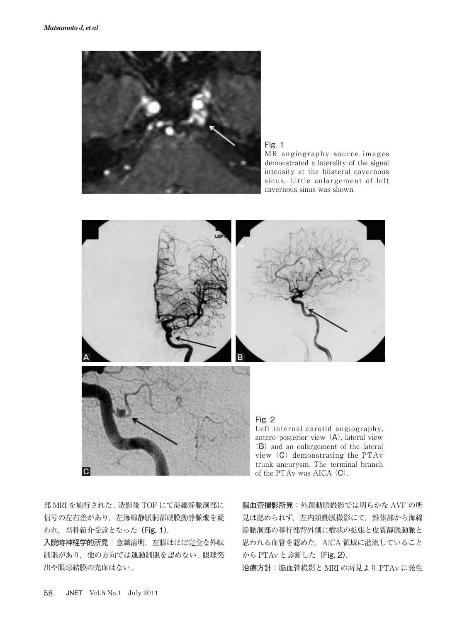

Fig. 1

MR angiography source images demonstrated a laterality of the signal intensity at the bilateral cavernous sinus. Little enlargement of left cavernous sinus was shown.



antero-posterior view  $(A)$ , lateral view (B) and an enlargement of the lateral view (C) demonstrating the PTAv trunk aneurysm. The terminal branch of the PTAv was AICA (C).

部 MRI を施行された . 造影後 TOF にて海綿静脈洞部に 信号の左右差があり,左海綿静脈洞部硬膜動静脈瘻を疑 われ,当科紹介受診となった(Fig. 1).

入院時神経学的所見:意識清明,左眼はほぼ完全な外転 制限があり、他の方向では運動制限を認めない. 眼球突 出や眼球結膜の充血はない .

脳血管撮影所見:外頚動脈撮影では明らかな AVF の所 見は認められず,左内頚動脈撮影にて,錐体部から海綿 静脈洞部の移行部背外側に瘤状の拡張と皮質静脈動脈と 思われる血管を認めた. AICA 領域に灌流していること から PTAv と診断した (Fig. 2).

治療方針:脳血管撮影と MRI の所見より PTAv に発生

 $|{\bf C}|$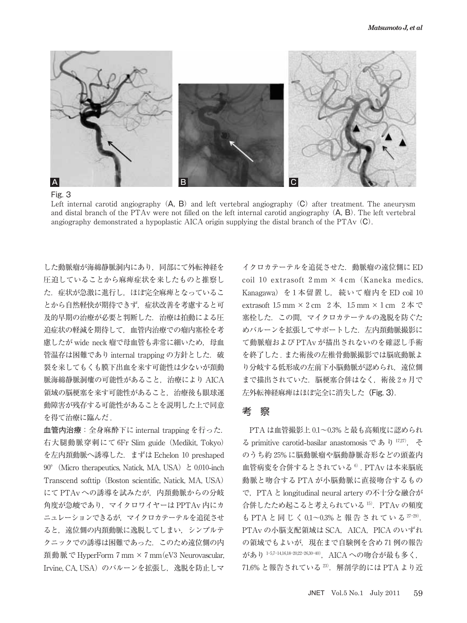

Fig. 3

Left internal carotid angiography  $(A, B)$  and left vertebral angiography  $(C)$  after treatment. The aneurysm and distal branch of the PTAv were not filled on the left internal carotid angiography  $(A, B)$ . The left vertebral angiography demonstrated a hypoplastic AICA origin supplying the distal branch of the PTAv  $(C)$ .

した動脈瘤が海綿静脈洞内にあり,同部にて外転神経を 圧迫していることから麻痺症状を来したものと推察し た.症状が急激に進行し,ほぼ完全麻痺となっているこ とから自然軽快が期待できず,症状改善を考慮すると可 及的早期の治療が必要と判断した.治療は拍動による圧 迫症状の軽減を期待して,血管内治療での瘤内塞栓を考 慮したが wide neck 瘤で母血管も非常に細いため. 母血 管温存は困難であり internal trapping の方針とした. 破 裂を来してもくも膜下出血を来す可能性は少ないが頚動 脈海綿静脈洞瘻の可能性があること,治療により AICA 領域の脳梗塞を来す可能性があること,治療後も眼球運 動障害が残存する可能性があることを説明した上で同意 を得て治療に臨んだ .

血管内治療:全身麻酔下に internal trapping を行った. 右大腿動脈穿刺にて 6Fr Slim guide (Medikit, Tokyo) を左内頚動脈へ誘導した. まずは Echelon 10 preshaped 90° (Micro therapeutics, Natick, MA, USA) と 0.010-inch Transcend softtip (Boston scientific, Natick, MA, USA) にて PTAv への誘導を試みたが、内頚動脈からの分岐 角度が急峻であり,マイクロワイヤーは PPTAv 内にカ ニュレーションできるが,マイクロカテーテルを追従させ ると,遠位側の内頚動脈に逸脱してしまい,シンプルテ クニックでの誘導は困難であった.このため遠位側の内 頚動脈で HyperForm 7 mm  $\times$  7 mm (eV3 Neurovascular, Irvine, CA, USA)のバルーンを拡張し、逸脱を防止しマ

イクロカテーテルを追従させた.動脈瘤の遠位側に ED coil 10 extrasoft  $2 \text{ mm} \times 4 \text{ cm}$  (Kaneka medics, Kanagawa) を1本留置し, 続いて瘤内を ED coil 10 extrasoft  $1.5 \text{ mm} \times 2 \text{ cm}$   $2 \text{ K}$ ,  $1.5 \text{ mm} \times 1 \text{ cm}$   $2 \text{ K} \heartsuit$ 塞栓した.この間,マイクロカテーテルの逸脱を防ぐた めバルーンを拡張してサポートした. 左内頚動脈撮影に て動脈瘤および PTAv が描出されないのを確認し手術 を終了した . また術後の左椎骨動脈撮影では脳底動脈よ り分岐する低形成の左前下小脳動脈が認められ、遠位側 まで描出されていた. 脳梗塞合併はなく、術後 2ヵ月で 左外転神経麻痺はほぼ完全に消失した(Fig. 3).

### 考 察

PTA は血管撮影上 0.1~0.3% と最も高頻度に認められ る primitive carotid-basilar anastomosis であり <sup>17,27</sup>, そ のうち約 25% に脳動脈瘤や脳動静脈奇形などの頭蓋内 血管病変を合併するとされている<sup>6)</sup>. PTAv は本来脳底 動脈と吻合する PTA が小脳動脈に直接吻合するもの で,PTA と longitudinal neural artery の不十分な融合が 合併したため起こると考えられている 15). PTAv の頻度 も PTA と同じく0.1~0.3% と報告されている 27-29). PTAv の小脳支配領域は SCA, AICA, PICA のいずれ の領域でもよいが、現在まで自験例を含め 71例の報告 があり<sup>1-5,7-14,16,18-20,22-26,30-40)</sup>, AICA への吻合が最も多く, 71.6% と報告されている<sup>23)</sup>. 解剖学的には PTA より近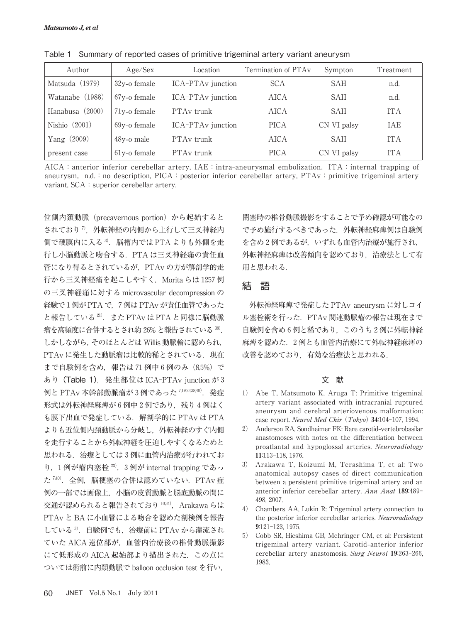| Author          | Age/Sex                   | Location                      | Termination of PTA <sub>v</sub> | Sympton     | <b>Treatment</b> |
|-----------------|---------------------------|-------------------------------|---------------------------------|-------------|------------------|
| Matsuda (1979)  | $32v$ -o female           | ICA-PTA <sub>v</sub> junction | <b>SCA</b>                      | SAH         | n.d.             |
| Watanabe (1988) | 67 <sub>v</sub> -o female | ICA-PTA <sub>v</sub> junction | AICA                            | <b>SAH</b>  | n.d.             |
| Hanabusa (2000) | 71 <sub>v</sub> -o female | PTA <sub>v</sub> trunk        | AICA                            | SAH         | <b>ITA</b>       |
| Nishio $(2001)$ | 69y-o female              | ICA-PTA <sub>v</sub> junction | <b>PICA</b>                     | CN VI palsy | <b>TAE</b>       |
| Yang $(2009)$   | 48y-o male                | PTA <sub>v</sub> trunk        | AICA                            | <b>SAH</b>  | <b>ITA</b>       |
| present case    | $61y$ -o female           | PTA <sub>v</sub> trunk        | <b>PICA</b>                     | CN VI palsy | <b>ITA</b>       |

Table 1 Summary of reported cases of primitive trigeminal artery variant aneurysm

AICA:anterior inferior cerebellar artery, IAE:intra**-**aneurysmal embolization,ITA:internal trapping of aneurysm, n.d.:no description, PICA: posterior inferior cerebellar artery, PTAv: primitive trigeminal artery variant, SCA: superior cerebellar artery.

位側内頚動脈 (precavernous portion) から起始すると されており<sup>7</sup>, 外転神経の内側から上行して三叉神経内 側で硬膜内に入る<sup>3)</sup>. 脳槽内では PTA よりも外側を走 行し小脳動脈と吻合する.PTA は三叉神経痛の責任血 管になり得るとされているが,PTAv の方が解剖学的走 行から三叉神経痛を起こしやすく, Morita らは 1257 例 の三叉神経痛に対する microvascular decompression の 経験で1例が PTA で、7例は PTAv が責任血管であった と報告している $^{21}$ . また PTAv は PTA と同様に脳動脈 瘤を高頻度に合併するとされ約 26% と報告されている 38). しかしながら,そのほとんどは Willis 動脈輪に認められ, PTAv に発生した動脈瘤は比較的稀とされている. 現在 まで自験例を含め、報告は 71 例中 6 例のみ (8.5%)で あり (Table 1), 発生部位は ICA-PTAv junction が3 例と PTAv 本幹部動脈瘤が 3 例であった 7,19,23,38,40). 発症 形式は外転神経麻痺が 6 例中 2 例であり、残り 4 例はく も膜下出血で発症している. 解剖学的に PTAv は PTA よりも近位側内頚動脈から分岐し,外転神経のすぐ内側 を走行することから外転神経を圧迫しやすくなるためと 思われる. 治療としては3例に血管内治療が行われてお り, 1例が瘤内塞栓 23), 3例が internal trapping であっ た<sup>7,40)</sup>. 全例, 脳梗塞の合併は認めていない. PTAv 症 例の一部では画像上,小脳の皮質動脈と脳底動脈の間に 交通が認められると報告されており $10,34$ ), Arakawa らは PTAv と BA に小血管による吻合を認めた剖検例を報告  $C$ ている $3$ . 自験例でも, 治療前に PTAv から灌流され ていた AICA 遠位部が,血管内治療後の椎骨動脈撮影 にて低形成の AICA 起始部より描出された.この点に ついては術前に内頚動脈で balloon occlusion test を行い,

閉塞時の椎骨動脈撮影をすることで予め確認が可能なの で予め施行するべきであった.外転神経麻痺例は自験例 を含め2例であるが、いずれも血管内治療が施行され, 外転神経麻痺は改善傾向を認めており,治療法として有 用と思われる.

### 結 語

外転神経麻痺で発症した PTAv aneurysm に対しコイ ル塞栓術を行った.PTAv 関連動脈瘤の報告は現在まで 自験例を含め 6例と稀であり、このうち2例に外転神経 麻痺を認めた. 2例とも血管内治療にて外転神経麻痺の 改善を認めており,有効な治療法と思われる.

#### 文 献

- ) Abe T, Matsumoto K, Aruga T: Primitive trigeminal artery variant associated with intracranial ruptured aneurysm and cerebral arteriovenous malformation: case report. Neurol Med Chir (Tokyo) 34:104-107, 1994.
- ) Anderson RA, Sondheimer FK: Rare carotid**-**vertebrobasilar anastomoses with notes on the differentiation between proatlantal and hypoglossal arteries. Neuroradiology 11:113-118, 1976.
- ) Arakawa T, Koizumi M, Terashima T, et al: Two anatomical autopsy cases of direct communication between a persistent primitive trigeminal artery and an anterior inferior cerebellar artery. Ann Anat 189:489-498, 2007.
- ) Chambers AA, Lukin R: Trigeminal artery connection to the posterior inferior cerebellar arteries. Neuroradiology 9:121-123, 1975.
- ) Cobb SR, Hieshima GB, Mehringer CM, et al: Persistent trigeminal artery variant. Carotid**-**anterior inferior cerebellar artery anastomosis. Surg Neurol 19:263-266, 1983.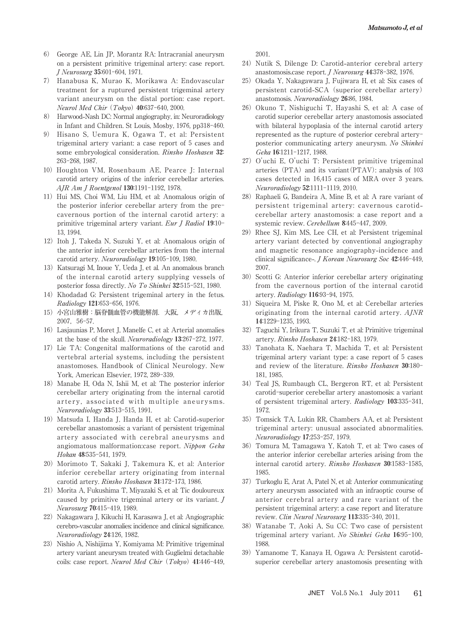- ) George AE, Lin JP, Morantz RA: Intracranial aneurysm on a persistent primitive trigeminal artery: case report. J Neurosurg 35:601-604, 1971.
- ) Hanabusa K, Murao K, Morikawa A: Endovascular treatment for a ruptured persistent trigeminal artery variant aneurysm on the distal portion: case report. Neurol Med Chir (Tokyo) 40:637-640, 2000.
- ) Harwood**-**Nash DC: Normal angiography, in: Neuroradiology in Infant and Children. St Louis, Mosby,  $1976$ ,  $pp318-460$ .
- ) Hisano S, Uemura K, Ogawa T, et al: Persistent trigeminal artery variant: a case report of cases and some embryological consideration. Rinsho Hoshasen 32: 263-268, 1987.
- )Houghton VM, Rosenbaum AE, Pearce J: Internal carotid artery origins of the inferior cerebellar arteries.  $A$ *JR Am J Roentgenol* 130:1191-1192, 1978.
- 11) Hui MS, Choi WM, Liu HM, et al: Anomalous origin of the posterior inferior cerebellar artery from the pre cavernous portion of the internal carotid artery: a primitive trigeminal artery variant. Eur J Radiol  $19:10-$ 13 1994
- )Itoh J, Takeda N, Suzuki Y, et al: Anomalous origin of the anterior inferior cerebellar arteries from the internal carotid artery. Neuroradiology 19:105-109, 1980.
- )Katsuragi M, Inoue Y, Ueda J, et al. An anomalous branch of the internal carotid artery supplying vessels of posterior fossa directly. No To Shinkei 32:515-521, 1980.
- )Khodadad G: Persistent trigeminal artery in the fetus. Radiology 121:653-656, 1976.
- )小宮山雅樹:脳脊髄血管の機能解剖.大阪,メディカ出版, 2007, 56-57.
- )Lasjaunias P, Moret J, Manelfe C, et al: Arterial anomalies at the base of the skull. Neuroradiology  $13:267-272$ , 1977.
- )Lie TA: Congenital malformations of the carotid and vertebral arterial systems, including the persistent anastomoses. Handbook of Clinical Neurology. New York, American Elsevier, 1972, 289-339.
- )Manabe H, Oda N, Ishii M, et al: The posterior inferior cerebellar artery originating from the internal carotid artery, associated with multiple aneurysms. Neuroradiology 33:513-515, 1991.
- )Matsuda I, Handa J, Handa H, et al: Carotid**-**superior cerebellar anastomosis: a variant of persistent trigeminal artery associated with cerebral aneurysms and angiomatous malformation:case report. Nippon Geka Hokan 48:535-541, 1979.
- )Morimoto T, Sakaki J, Takemura K, et al: Anterior inferior cerebellar artery originating from internal carotid artery. Rinsho Hoshasen 31:172-173, 1986.
- 21) Morita A, Fukushima T, Miyazaki S, et al: Tic douloureux caused by primitive trigeminal artery or its variant. J Neurosurg 70:415-419, 1989.
- 22) Nakagawara J, Kikuchi H, Karasawa J, et al: Angiographic cerebro**-**vascular anomalies: incidence and clinical significance. Neuroradiology 24:126, 1982.
- 23) Nishio A, Nishijima Y, Komiyama M: Primitive trigeminal artery variant aneurysm treated with Guglielmi detachable coils: case report. Neurol Med Chir (Tokyo) 41:446-449,

2001.

- 24) Nutik S, Dilenge D: Carotid-anterior cerebral artery anastomosis.case report. *J Neurosurg*  $44:378-382$ , 1976.
- )Okada Y, Nakagawara J, Fujiwara H, et al: Six cases of persistent carotid-SCA (superior cerebellar artery) anastomosis. Neuroradiology 26:86, 1984.
- )Okuno T, Nishiguchi T, Hayashi S, et al: A case of carotid superior cerebellar artery anastomosis associated with bilateral hypoplasia of the internal carotid artery represented as the rupture of posterior cerebral artery posterior communicating artery aneurysm. No Shinkei Geka 16:1211-1217, 1988.
- 27) O'uchi E, O'uchi T: Persistent primitive trigeminal arteries  $(PTA)$  and its variant  $(PTAV)$ : analysis of 103 cases detected in 16,415 cases of MRA over 3 years. Neuroradiology 52:1111-1119, 2010.
- 28) Raphaeli G, Bandeira A, Mine B, et al: A rare variant of persistent trigeminal artery: cavernous carotidcerebellar artery anastomosis: a case report and a systemic review. Cerebellum 8:445-447, 2009.
- )Rhee SJ, Kim MS, Lee CH, et al: Persistent trigeminal artery variant detected by conventional angiography and magnetic resonance angiography**-**incidence and clinical significance-. *J Korean Neurosurg Soc* 42:446-449, 2007.
- 30) Scotti G: Anterior inferior cerebellar artery originating from the cavernous portion of the internal carotid artery. Radiology 116:93-94, 1975.
- 31) Siqueira M, Piske R, Ono M, et al: Cerebellar arteries originating from the internal carotid artery. AJNR 14:1229-1235, 1993.
- )Taguchi Y, Irikura T, Suzuki T, et al: Primitive trigeminal artery. Rinsho Hoshasen 24:182-183, 1979.
- )Tanohata K, Naehara T, Machida T, et al: Persistent trigeminal artery variant type: a case report of 5 cases and review of the literature. Rinsho Hoshasen 30:180-181, 1985.
- 34) Teal JS, Rumbaugh CL, Bergeron RT, et al: Persistent carotid-superior cerebellar artery anastomosis: a variant of persistent trigeminal artery.  $Radiology$  103:335-341, 1972
- )Tomsick TA, Lukin RR, Chambers AA, et al: Persistent trigeminal artery: unusual associated abnormalities. Neuroradiology 17:253-257, 1979.
- )Tomura M, Tamagawa Y, Katoh T, et al: Two cases of the anterior inferior cerebellar arteries arising from the internal carotid artery. Rinsho Hoshasen 30:1583-1585, 1985.
- 37) Turkoglu E, Arat A, Patel N, et al: Anterior communicating artery aneurysm associated with an infraoptic course of anterior cerebral artery and rare variant of the persistent trigeminal artery: a case report and literature review. Clin Neurol Neurosurg 113:335-340, 2011.
- )Watanabe T, Aoki A, Su CC: Two case of persistent trigeminal artery variant. No Shinkei Geka 16:95-100, 1988.
- )Yamanome T, Kanaya H, Ogawa A: Persistent carotidsuperior cerebellar artery anastomosis presenting with